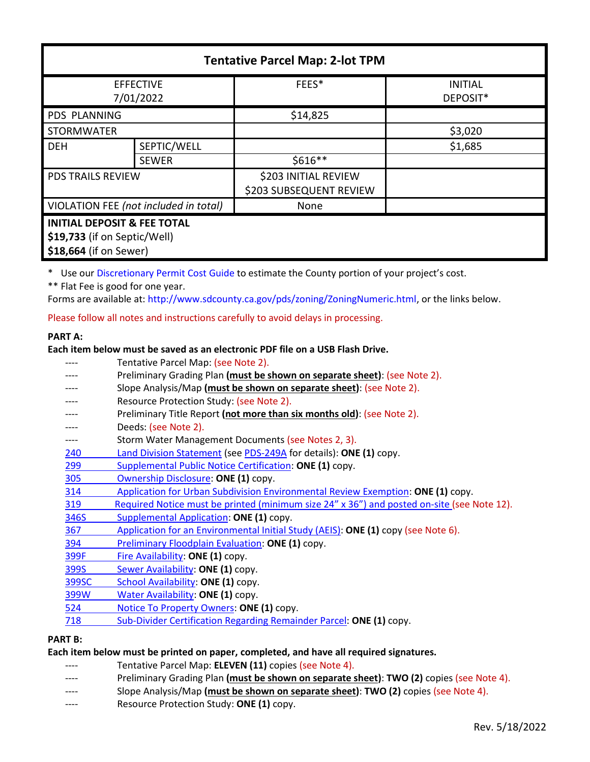| <b>Tentative Parcel Map: 2-lot TPM</b>                                                           |              |                                                 |                            |  |  |
|--------------------------------------------------------------------------------------------------|--------------|-------------------------------------------------|----------------------------|--|--|
| <b>EFFECTIVE</b><br>7/01/2022                                                                    |              | FEES*                                           | <b>INITIAL</b><br>DEPOSIT* |  |  |
| <b>PDS PLANNING</b>                                                                              |              | \$14,825                                        |                            |  |  |
| <b>STORMWATER</b>                                                                                |              |                                                 | \$3,020                    |  |  |
| <b>DEH</b>                                                                                       | SEPTIC/WELL  |                                                 | \$1,685                    |  |  |
|                                                                                                  | <b>SEWER</b> | \$616**                                         |                            |  |  |
| <b>PDS TRAILS REVIEW</b>                                                                         |              | \$203 INITIAL REVIEW<br>\$203 SUBSEQUENT REVIEW |                            |  |  |
| VIOLATION FEE (not included in total)                                                            |              | None                                            |                            |  |  |
| <b>INITIAL DEPOSIT &amp; FEE TOTAL</b><br>\$19,733 (if on Septic/Well)<br>\$18,664 (if on Sewer) |              |                                                 |                            |  |  |

\* Use our [Discretionary Permit Cost Guide](http://www.sandiegocounty.gov/content/dam/sdc/pds/docs/Discretionary_Permit_Cost_Guide.xlsx) to estimate the County portion of your project's cost.

\*\* Flat Fee is good for one year.

Forms are available at: [http://www.sdcounty.ca.gov/pds/zoning/ZoningNumeric.html,](http://www.sdcounty.ca.gov/pds/zoning/ZoningNumeric.html) or the links below.

Please follow all notes and instructions carefully to avoid delays in processing.

### **PART A:**

# **Each item below must be saved as an electronic PDF file on a USB Flash Drive.**

|            | Tentative Parcel Map: (see Note 2).                                                        |
|------------|--------------------------------------------------------------------------------------------|
|            | Preliminary Grading Plan (must be shown on separate sheet): (see Note 2).                  |
|            | Slope Analysis/Map (must be shown on separate sheet): (see Note 2).                        |
|            | Resource Protection Study: (see Note 2).                                                   |
|            | Preliminary Title Report (not more than six months old): (see Note 2).                     |
|            | Deeds: (see Note 2).                                                                       |
|            | Storm Water Management Documents (see Notes 2, 3).                                         |
| 240        | Land Division Statement (see PDS-249A for details): ONE (1) copy.                          |
| 299        | Supplemental Public Notice Certification: ONE (1) copy.                                    |
| <u>305</u> | Ownership Disclosure: ONE (1) copy.                                                        |
| 314        | Application for Urban Subdivision Environmental Review Exemption: ONE (1) copy.            |
| 319        | Required Notice must be printed (minimum size 24" x 36") and posted on-site (see Note 12). |
| 346S       | Supplemental Application: ONE (1) copy.                                                    |
| 367        | Application for an Environmental Initial Study (AEIS): ONE (1) copy (see Note 6).          |
| 394        | Preliminary Floodplain Evaluation: ONE (1) copy.                                           |
| 399F       | Fire Availability: ONE (1) copy.                                                           |
| 399S       | Sewer Availability: ONE (1) copy.                                                          |
| 399SC      | School Availability: ONE (1) copy.                                                         |
| 399W       | Water Availability: ONE (1) copy.                                                          |
| 524        | Notice To Property Owners: ONE (1) copy.                                                   |
| 718        | Sub-Divider Certification Regarding Remainder Parcel: ONE (1) copy.                        |
|            |                                                                                            |

# **PART B:**

# **Each item below must be printed on paper, completed, and have all required signatures.**

- ---- Tentative Parcel Map: **ELEVEN (11)** copies (see Note 4).
- ---- Preliminary Grading Plan **(must be shown on separate sheet)**: **TWO (2)** copies (see Note 4).
- ---- Slope Analysis/Map **(must be shown on separate sheet)**: **TWO (2)** copies (see Note 4).
- ---- Resource Protection Study: **ONE (1)** copy.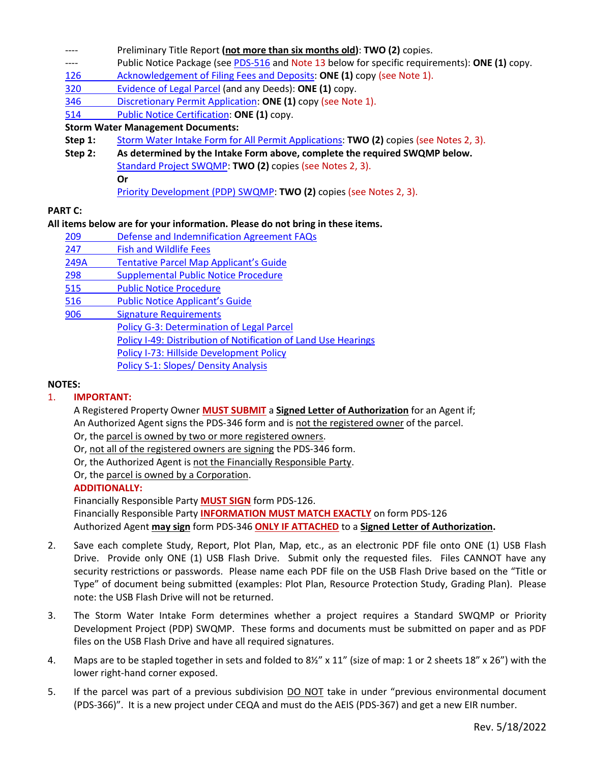- Preliminary Title Report (not more than six months old): **TWO (2)** copies.
- ---- Public Notice Package (se[e PDS-516](https://www.sandiegocounty.gov/pds/zoning/formfields/PDS-PLN-516.pdf) and Note 13 below for specific requirements): **ONE (1)** copy.
- [126 Acknowledgement of Filing Fees and Deposits:](http://www.sdcounty.ca.gov/pds/zoning/formfields/PDS-PLN-126.pdf) **ONE (1)** copy (see Note 1).
- [320 Evidence of](http://www.sdcounty.ca.gov/pds/zoning/formfields/PDS-PLN-320.pdf) Legal Parcel (and any Deeds): **ONE (1)** copy.
- 346 [Discretionary Permit Application:](http://www.sdcounty.ca.gov/pds/zoning/formfields/PDS-PLN-346.pdf) **ONE (1)** copy (see Note 1).
- 514 [Public Notice Certification:](http://www.sdcounty.ca.gov/pds/zoning/formfields/PDS-PLN-514.pdf) **ONE (1)** copy.

### **Storm Water Management Documents:**

- **Step 1:** [Storm Water Intake Form for All Permit Applications:](http://www.sandiegocounty.gov/content/dam/sdc/pds/zoning/formfields/SWQMP-Intake-Form.pdf) **TWO (2)** copies (see Notes 2, 3).
- **Step 2: As determined by the Intake Form above, complete the required SWQMP below.** [Standard Project SWQMP:](http://www.sandiegocounty.gov/content/dam/sdc/pds/zoning/formfields/SWQMP-Standard.pdf) **TWO (2)** copies (see Notes 2, 3). **Or** [Priority Development \(PDP\) SWQMP:](https://www.sandiegocounty.gov/content/sdc/dpw/watersheds/DevelopmentandConstruction/BMP_Design_Manual.html) **TWO (2)** copies (see Notes 2, 3).

### **PART C:**

#### **All items below are for your information. Please do not bring in these items.**

- 209 [Defense and Indemnification Agreement FAQs](http://www.sdcounty.ca.gov/pds/zoning/formfields/PDS-PLN-209.pdf)
- [247 Fish and Wildlife](http://www.sdcounty.ca.gov/pds/zoning/formfields/PDS-PLN-247.pdf) Fees
- 249A [Tentative Parcel Map Applicant's Guide](http://www.sdcounty.ca.gov/pds/zoning/formfields/PDS-PLN-249A.pdf)
- [298 Supplemental Public Notice Procedure](http://www.sdcounty.ca.gov/pds/zoning/formfields/PDS-PLN-298.pdf)
- [515 Public Notice Procedure](http://www.sdcounty.ca.gov/pds/zoning/formfields/PDS-PLN-515.pdf)
- 516 [Public Notice Applicant's Guide](http://www.sdcounty.ca.gov/pds/zoning/formfields/PDS-PLN-516.pdf)
- [906 Signature Requirements](http://www.sdcounty.ca.gov/pds/zoning/formfields/PDS-PLN-906.pdf) 
	- [Policy G-3: Determination of Legal Parcel](http://www.sdcounty.ca.gov/pds/zoning/formfields/POLICY-G-3.pdf) Policy I-49: [Distribution of Notification](http://www.sdcounty.ca.gov/cob/docs/policy/I-49.pdf) of Land Use Hearings
	- Policy I-73: [Hillside Development Policy](http://www.sdcounty.ca.gov/cob/docs/policy/I-73.pdf)
	-
	- Policy S-1: Slopes/ [Density Analysis](http://www.sdcounty.ca.gov/pds/zoning/formfields/POLICY-S-1.pdf)

#### **NOTES:**

### 1. **IMPORTANT:**

A Registered Property Owner **MUST SUBMIT** a **Signed Letter of Authorization** for an Agent if; An Authorized Agent signs the PDS-346 form and is not the registered owner of the parcel.

- Or, the parcel is owned by two or more registered owners.
- Or, not all of the registered owners are signing the PDS-346 form.
- Or, the Authorized Agent is not the Financially Responsible Party.

Or, the parcel is owned by a Corporation.

#### **ADDITIONALLY:**

Financially Responsible Party **MUST SIGN** form PDS-126. Financially Responsible Party **INFORMATION MUST MATCH EXACTLY** on form PDS-126 Authorized Agent **may sign** form PDS-346 **ONLY IF ATTACHED** to a **Signed Letter of Authorization.**

- 2. Save each complete Study, Report, Plot Plan, Map, etc., as an electronic PDF file onto ONE (1) USB Flash Drive. Provide only ONE (1) USB Flash Drive. Submit only the requested files. Files CANNOT have any security restrictions or passwords. Please name each PDF file on the USB Flash Drive based on the "Title or Type" of document being submitted (examples: Plot Plan, Resource Protection Study, Grading Plan). Please note: the USB Flash Drive will not be returned.
- 3. The Storm Water Intake Form determines whether a project requires a Standard SWQMP or Priority Development Project (PDP) SWQMP. These forms and documents must be submitted on paper and as PDF files on the USB Flash Drive and have all required signatures.
- 4. Maps are to be stapled together in sets and folded to 8½" x 11" (size of map: 1 or 2 sheets 18" x 26") with the lower right-hand corner exposed.
- 5. If the parcel was part of a previous subdivision DO NOT take in under "previous environmental document (PDS-366)". It is a new project under CEQA and must do the AEIS (PDS-367) and get a new EIR number.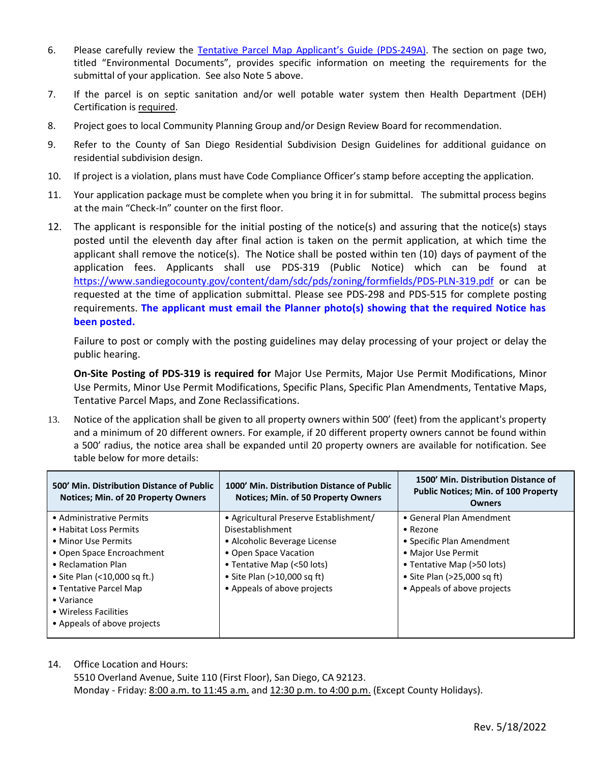- 6. Please carefully review the [Tentative Parcel Map Applicant's Guide \(PDS](http://www.sdcounty.ca.gov/pds/zoning/formfields/PDS-PLN-249A.pdf)-249A). The section on page two, titled "Environmental Documents", provides specific information on meeting the requirements for the submittal of your application. See also Note 5 above.
- 7. If the parcel is on septic sanitation and/or well potable water system then Health Department (DEH) Certification is required.
- 8. Project goes to local Community Planning Group and/or Design Review Board for recommendation.
- 9. Refer to the County of San Diego Residential Subdivision Design Guidelines for additional guidance on residential subdivision design.
- 10. If project is a violation, plans must have Code Compliance Officer's stamp before accepting the application.
- 11. Your application package must be complete when you bring it in for submittal. The submittal process begins at the main "Check-In" counter on the first floor.
- 12. The applicant is responsible for the initial posting of the notice(s) and assuring that the notice(s) stays posted until the eleventh day after final action is taken on the permit application, at which time the applicant shall remove the notice(s). The Notice shall be posted within ten (10) days of payment of the application fees. Applicants shall use PDS-319 (Public Notice) which can be found at <https://www.sandiegocounty.gov/content/dam/sdc/pds/zoning/formfields/PDS-PLN-319.pdf> or can be requested at the time of application submittal. Please see PDS-298 and PDS-515 for complete posting requirements. **The applicant must email the Planner photo(s) showing that the required Notice has been posted.**

Failure to post or comply with the posting guidelines may delay processing of your project or delay the public hearing.

**On-Site Posting of PDS-319 is required for** Major Use Permits, Major Use Permit Modifications, Minor Use Permits, Minor Use Permit Modifications, Specific Plans, Specific Plan Amendments, Tentative Maps, Tentative Parcel Maps, and Zone Reclassifications.

13. Notice of the application shall be given to all property owners within 500' (feet) from the applicant's property and a minimum of 20 different owners. For example, if 20 different property owners cannot be found within a 500' radius, the notice area shall be expanded until 20 property owners are available for notification. See table below for more details:

| 500' Min. Distribution Distance of Public<br><b>Notices: Min. of 20 Property Owners</b> | 1000' Min. Distribution Distance of Public<br><b>Notices: Min. of 50 Property Owners</b> | 1500' Min. Distribution Distance of<br><b>Public Notices: Min. of 100 Property</b><br>Owners |
|-----------------------------------------------------------------------------------------|------------------------------------------------------------------------------------------|----------------------------------------------------------------------------------------------|
| • Administrative Permits                                                                | • Agricultural Preserve Establishment/                                                   | • General Plan Amendment                                                                     |
| • Habitat Loss Permits                                                                  | Disestablishment                                                                         | $\bullet$ Rezone                                                                             |
| • Minor Use Permits                                                                     | • Alcoholic Beverage License                                                             | • Specific Plan Amendment                                                                    |
| • Open Space Encroachment                                                               | • Open Space Vacation                                                                    | • Major Use Permit                                                                           |
| • Reclamation Plan                                                                      | • Tentative Map (<50 lots)                                                               | • Tentative Map (>50 lots)                                                                   |
| • Site Plan $($ < 10,000 sq ft.)                                                        | • Site Plan (>10,000 sq ft)                                                              | • Site Plan (>25,000 sq ft)                                                                  |
| • Tentative Parcel Map                                                                  | • Appeals of above projects                                                              | • Appeals of above projects                                                                  |
| $\bullet$ Variance                                                                      |                                                                                          |                                                                                              |
| • Wireless Facilities                                                                   |                                                                                          |                                                                                              |
| • Appeals of above projects                                                             |                                                                                          |                                                                                              |

#### 14. Office Location and Hours:

5510 Overland Avenue, Suite 110 (First Floor), San Diego, CA 92123. Monday - Friday: 8:00 a.m. to 11:45 a.m. and 12:30 p.m. to 4:00 p.m. (Except County Holidays).